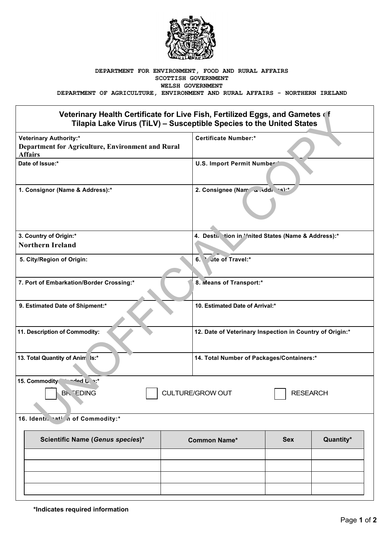

## **DEPARTMENT FOR ENVIRONMENT, FOOD AND RURAL AFFAIRS SCOTTISH GOVERNMENT WELSH GOVERNMENT**

**DEPARTMENT OF AGRICULTURE, ENVIRONMENT AND RURAL AFFAIRS - NORTHERN IRELAND**

## **Veterinary Health Certificate for Live Fish, Fertilized Eggs, and Gametes of Tilapia Lake Virus (TiLV) – Susceptible Species to the United States**

| Veterinary Health Certificate for Live Fish, Fertilized Eggs, and Gametes of<br>Tilapia Lake Virus (TiLV) - Susceptible Species to the United States |                                                          |                                                     |           |  |  |
|------------------------------------------------------------------------------------------------------------------------------------------------------|----------------------------------------------------------|-----------------------------------------------------|-----------|--|--|
| <b>Veterinary Authority:*</b><br>Department for Agriculture, Environment and Rural<br><b>Affairs</b>                                                 | <b>Certificate Number:*</b>                              |                                                     |           |  |  |
| Date of Issue:*                                                                                                                                      | U.S. Import Permit Number                                |                                                     |           |  |  |
| 1. Consignor (Name & Address):*                                                                                                                      |                                                          | 2. Consignee (Nam and di cs):*                      |           |  |  |
| 3. Country of Origin:*                                                                                                                               |                                                          | 4. Destin tion in ''nited States (Name & Address):* |           |  |  |
| <b>Northern Ireland</b>                                                                                                                              |                                                          |                                                     |           |  |  |
| 5. City/Region of Origin:                                                                                                                            | ute of Travel:*<br>6.                                    |                                                     |           |  |  |
| 7. Port of Embarkation/Border Crossing:*                                                                                                             | 8. Means of Transport:*                                  |                                                     |           |  |  |
| 9. Estimated Date of Shipment:*                                                                                                                      |                                                          | 10. Estimated Date of Arrival:*                     |           |  |  |
| 11. Description of Commodity:                                                                                                                        | 12. Date of Veterinary Inspection in Country of Origin:* |                                                     |           |  |  |
| 13. Total Quantity of Anim Is:*                                                                                                                      |                                                          | 14. Total Number of Packages/Containers:*           |           |  |  |
| 15. Commodity<br>$A = 0$ one<br><b>BK EDING</b><br><b>CULTURE/GROW OUT</b><br><b>RESEARCH</b>                                                        |                                                          |                                                     |           |  |  |
| 16. Identi. hati in of Commodity:*                                                                                                                   |                                                          |                                                     |           |  |  |
| Scientific Name (Genus species)*                                                                                                                     | <b>Common Name*</b>                                      | <b>Sex</b>                                          | Quantity* |  |  |
|                                                                                                                                                      |                                                          |                                                     |           |  |  |
|                                                                                                                                                      |                                                          |                                                     |           |  |  |
|                                                                                                                                                      |                                                          |                                                     |           |  |  |
|                                                                                                                                                      |                                                          |                                                     |           |  |  |